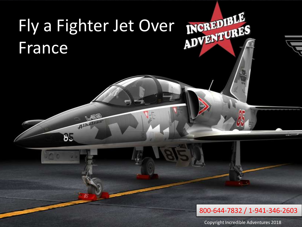# Fly a Fighter Jet Over France Alban 85 800-644-7832 / 1-941-346-2603

Copyright Incredible Adventures 2018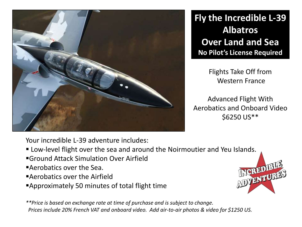

**Fly the Incredible L-39 Albatros Over Land and Sea No Pilot's License Required**

> Flights Take Off from Western France

Advanced Flight With Aerobatics and Onboard Video \$6250 US\*\*

Your incredible L-39 adventure includes:

- Low-level flight over the sea and around the Noirmoutier and Yeu I[slands.](https://www.incredible-adventures.com/l-39-france.html)
- Ground Attack Simulation Over Airfield
- Aerobatics over the Sea.
- Aerobatics over the Airfield
- Approximately 50 minutes of total flight time

*\*\*Price is based on exchange rate at time of purchase and is subject to change. Prices include 20% French VAT and onboard video. Add air-to-air photos & video for \$1250 US.*

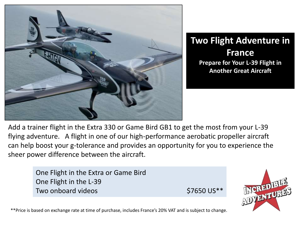

# **Two Flight Adventure in France Prepare for Your L-39 Flight in Another Great Aircraft**

Add a trainer flight in the Extra 330 or Game Bird GB1 to get the most from your L-39 flying adventure. A flight in one of our high-performance aerobatic propeller aircraft can help boost your g-tolerance and provides an opportunity for you to experience the sheer power difference between the aircraft.

> One Flight in the Extra or Game Bird One Flight in the L-39 Two onboard videos **\$7650 US\*\***



\*\*Price is based on exchange rate at time of purchase, includes France's 20% VAT and is subject to change.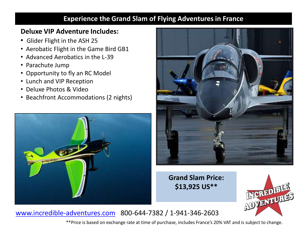## **Experience the Grand Slam of Flying Adventures in France**

## **Deluxe VIP Adventure Includes:**

- Glider Flight in the ASH 25
- Aerobatic Flight in the Game Bird GB1
- Advanced Aerobatics in the L-39
- Parachute Jump
- Opportunity to fly an RC Model
- Lunch and VIP Reception
- Deluxe Photos & Video
- Beachfront Accommodations (2 nights)





**Grand Slam Price: \$13,925 US\*\***



# [www.incredible-adventures.com](http://www.incredible-adventures.com/) 800-644-7382 / 1-941-346-2603

\*\*Price is based on exchange rate at time of purchase, includes France's 20% VAT and is subject to change.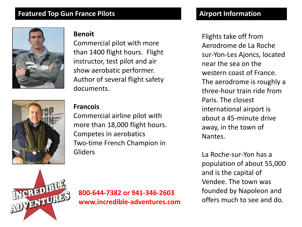#### **Featured Top Gun France Pilots**



#### **Benoit**

Commercial pilot with more than 1400 flight hours. Flight instructor, test pilot and air show aerobatic performer. Author of several flight safety documents.



#### **Francois**

Commercial airline pilot with more than 18,000 flight hours. Competes in aerobatics Two-time French Champion in Gliders

# **Airport Information**

Flights take off from Aerodrome de La Roche sur-Yon-Les Ajoncs, located near the sea on the western coast of France. The aerodrome is roughly a three-hour train ride from Paris. The closest international airport is about a 45-minute drive away, in the town of Nantes.

La Roche-sur-Yon has a population of about 55,000 and is the capital of Vendee. The town was founded by Napoleon and offers much to see and do.



**800-644-7382 or 941-346-2603 www.incredible-adventures.com**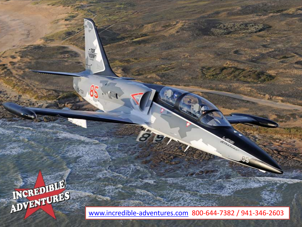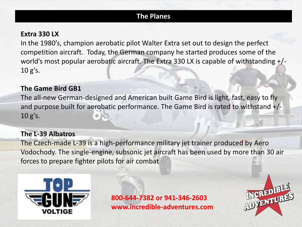## **The Planes**

#### **Extra 330 LX**

In the 1980's, champion aerobatic pilot Walter Extra set out to design the perfect competition aircraft. Today, the German company he started produces some of the world's most popular aerobatic aircraft. The Extra 330 LX is capable of withstanding +/- 10 g's.

#### **The Game Bird GB1**

The all-new German-designed and American built Game Bird is light, fast, easy to fly and purpose built for aerobatic performance. The Game Bird is rated to withstand +/- 10 g's.

## **The L-39 Albatros**

The Czech-made L-39 is a high-performance military jet trainer produced by Aero Vodochody. The single-engine, subsonic jet aircraft has been used by more than 30 air forces to prepare fighter pilots for air combat



**800-644-7382 or 941-346-2603 www.incredible-adventures.com**